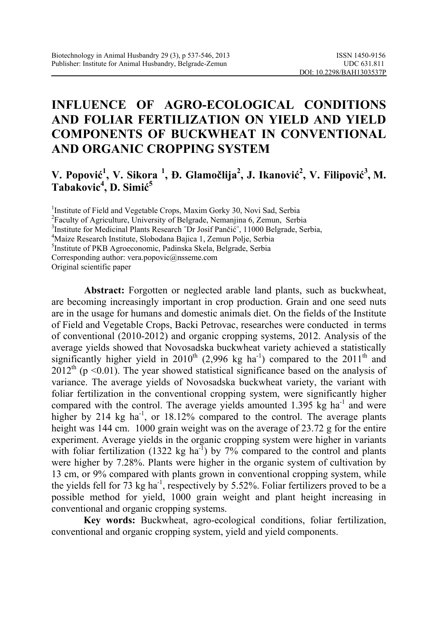# **INFLUENCE OF AGRO-ECOLOGICAL CONDITIONS AND FOLIAR FERTILIZATION ON YIELD AND YIELD COMPONENTS OF BUCKWHEAT IN CONVENTIONAL AND ORGANIC CROPPING SYSTEM**

### **V. Popović 1 , V. Sikora <sup>1</sup> , Đ. Glamočlija2 , J. Ikanović 2 , V. Filipović 3 , M. Tabakovic<sup>4</sup> , D. Simić 5**

<sup>1</sup>Institute of Field and Vegetable Crops, Maxim Gorky 30, Novi Sad, Serbia

<sup>2</sup> Faculty of Agriculture, University of Belgrade, Nemanjina 6, Zemun, Serbia

<sup>3</sup>Institute for Medicinal Plants Research "Dr Josif Pančić", 11000 Belgrade, Serbia,

Maize Research Institute, Slobodana Bajica 1, Zemun Polje, Serbia

5 Institute of PKB Agroeconomic, Padinska Skela, Belgrade, Serbia

Corresponding author: vera.popovic@nsseme.com

Original scientific paper

**Abstract:** Forgotten or neglected arable land plants, such as buckwheat, are becoming increasingly important in crop production. Grain and one seed nuts are in the usage for humans and domestic animals diet. On the fields of the Institute of Field and Vegetable Crops, Backi Petrovac, researches were conducted in terms of conventional (2010-2012) and organic cropping systems, 2012. Analysis of the average yields showed that Novosadska buckwheat variety achieved a statistically significantly higher yield in 2010<sup>th</sup> (2,996 kg ha<sup>-1</sup>) compared to the 2011<sup>th</sup> and  $2012<sup>th</sup>$  (p <0.01). The year showed statistical significance based on the analysis of variance. The average yields of Novosadska buckwheat variety, the variant with foliar fertilization in the conventional cropping system, were significantly higher compared with the control. The average yields amounted  $1.395$  kg ha<sup>-1</sup> and were higher by 214 kg ha<sup>-1</sup>, or 18.12% compared to the control. The average plants height was 144 cm. 1000 grain weight was on the average of 23.72 g for the entire experiment. Average yields in the organic cropping system were higher in variants with foliar fertilization (1322 kg ha<sup>-1</sup>) by 7% compared to the control and plants were higher by 7.28%. Plants were higher in the organic system of cultivation by 13 cm, or 9% compared with plants grown in conventional cropping system, while the yields fell for  $\overline{73}$  kg ha<sup>-1</sup>, respectively by 5.52%. Foliar fertilizers proved to be a possible method for yield, 1000 grain weight and plant height increasing in conventional and organic cropping systems.

**Key words:** Buckwheat, agro-ecological conditions, foliar fertilization, conventional and organic cropping system, yield and yield components.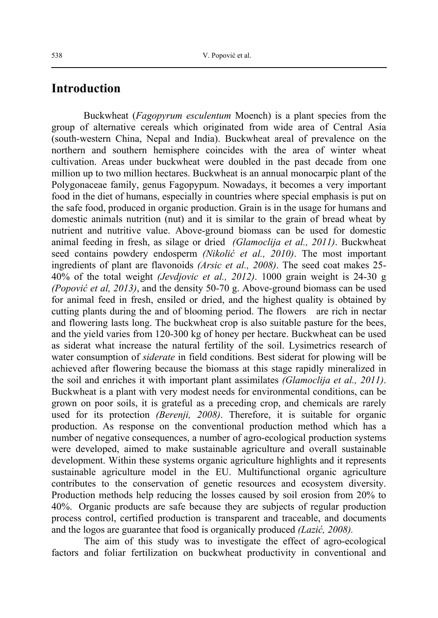#### **Introduction**

Buckwheat (*Fagopyrum esculentum* Moench) is a plant species from the group of alternative cereals which originated from wide area of Central Asia (south-western China, Nepal and India). Buckwheat areal of prevalence on the northern and southern hemisphere coincides with the area of winter wheat cultivation. Areas under buckwheat were doubled in the past decade from one million up to two million hectares. Buckwheat is an annual monocarpic plant of the Polygonaceae family, genus Fagopypum. Nowadays, it becomes a very important food in the diet of humans, especially in countries where special emphasis is put on the safe food, produced in organic production. Grain is in the usage for humans and domestic animals nutrition (nut) and it is similar to the grain of bread wheat by nutrient and nutritive value. Above-ground biomass can be used for domestic animal feeding in fresh, as silage or dried *(Glamoclija et al., 2011)*. Buckwheat seed contains powdery endosperm *(Nikolić et al., 2010)*. The most important ingredients of plant are flavonoids *(Arsic et al., 2008)*. The seed coat makes 25- 40% of the total weight *(Jevdjovic et al., 2012)*. 1000 grain weight is 24-30 g *(Popović et al, 2013)*, and the density 50-70 g. Above-ground biomass can be used for animal feed in fresh, ensiled or dried, and the highest quality is obtained by cutting plants during the and of blooming period. The flowers are rich in nectar and flowering lasts long. The buckwheat crop is also suitable pasture for the bees, and the yield varies from 120-300 kg of honey per hectare. Buckwheat can be used as siderat what increase the natural fertility of the soil. Lysimetrics research of water consumption of *siderate* in field conditions. Best siderat for plowing will be achieved after flowering because the biomass at this stage rapidly mineralized in the soil and enriches it with important plant assimilates *(Glamoclija et al., 2011)*. Buckwheat is a plant with very modest needs for environmental conditions, can be grown on poor soils, it is grateful as a preceding crop, and chemicals are rarely used for its protection *(Berenji, 2008)*. Therefore, it is suitable for organic production. As response on the conventional production method which has a number of negative consequences, a number of agro-ecological production systems were developed, aimed to make sustainable agriculture and overall sustainable development. Within these systems organic agriculture highlights and it represents sustainable agriculture model in the EU. Multifunctional organic agriculture contributes to the conservation of genetic resources and ecosystem diversity. Production methods help reducing the losses caused by soil erosion from 20% to 40%. Organic products are safe because they are subjects of regular production process control, certified production is transparent and traceable, and documents and the logos are guarantee that food is organically produced *(Lazić, 2008).*

The aim of this study was to investigate the effect of agro-ecological factors and foliar fertilization on buckwheat productivity in conventional and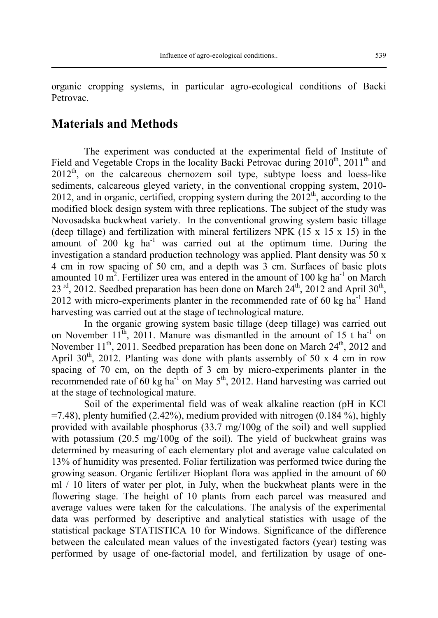organic cropping systems, in particular agro-ecological conditions of Backi Petrovac.

#### **Materials and Methods**

The experiment was conducted at the experimental field of Institute of Field and Vegetable Crops in the locality Backi Petrovac during  $2010^{th}$ ,  $2011^{th}$  and  $2012<sup>th</sup>$ , on the calcareous chernozem soil type, subtype loess and loess-like sediments, calcareous gleyed variety, in the conventional cropping system, 2010- 2012, and in organic, certified, cropping system during the  $2012<sup>th</sup>$ , according to the modified block design system with three replications. The subject of the study was Novosadska buckwheat variety. In the conventional growing system basic tillage (deep tillage) and fertilization with mineral fertilizers NPK  $(15 \times 15 \times 15)$  in the amount of  $200 \text{ kg}$  ha<sup>-1</sup> was carried out at the optimum time. During the investigation a standard production technology was applied. Plant density was  $50 \times$ 4 cm in row spacing of 50 cm, and a depth was 3 cm. Surfaces of basic plots amounted 10 m<sup>2</sup>. Fertilizer urea was entered in the amount of 100 kg ha<sup>-1</sup> on March  $23<sup>rd</sup>$ , 2012. Seedbed preparation has been done on March  $24<sup>th</sup>$ , 2012 and April  $30<sup>th</sup>$ , 2012 with micro-experiments planter in the recommended rate of 60 kg  $ha^{-1}$  Hand harvesting was carried out at the stage of technological mature.

In the organic growing system basic tillage (deep tillage) was carried out on November  $11^{th}$ , 2011. Manure was dismantled in the amount of 15 t ha<sup>-1</sup> on November  $11<sup>th</sup>$ , 2011. Seedbed preparation has been done on March  $24<sup>th</sup>$ , 2012 and April 30<sup>th</sup>, 2012. Planting was done with plants assembly of 50 x 4 cm in row spacing of 70 cm, on the depth of 3 cm by micro-experiments planter in the recommended rate of 60 kg ha<sup>-1</sup> on May  $5<sup>th</sup>$ , 2012. Hand harvesting was carried out at the stage of technological mature.

Soil of the experimental field was of weak alkaline reaction (pH in KCl  $=7.48$ ), plenty humified (2.42%), medium provided with nitrogen (0.184 %), highly provided with available phosphorus (33.7 mg/100g of the soil) and well supplied with potassium (20.5 mg/100g of the soil). The yield of buckwheat grains was determined by measuring of each elementary plot and average value calculated on 13% of humidity was presented. Foliar fertilization was performed twice during the growing season. Organic fertilizer Bioplant flora was applied in the amount of 60 ml / 10 liters of water per plot, in July, when the buckwheat plants were in the flowering stage. The height of 10 plants from each parcel was measured and average values were taken for the calculations. The analysis of the experimental data was performed by descriptive and analytical statistics with usage of the statistical package STATISTICA 10 for Windows. Significance of the difference between the calculated mean values of the investigated factors (year) testing was performed by usage of one-factorial model, and fertilization by usage of one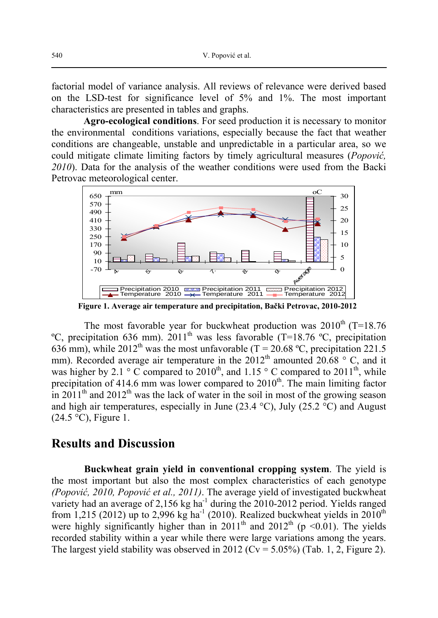factorial model of variance analysis. All reviews of relevance were derived based on the LSD-test for significance level of 5% and 1%. The most important characteristics are presented in tables and graphs.

**Agro-ecological conditions**. For seed production it is necessary to monitor the environmental conditions variations, especially because the fact that weather conditions are changeable, unstable and unpredictable in a particular area, so we could mitigate climate limiting factors by timely agricultural measures (*Popović, 2010*). Data for the analysis of the weather conditions were used from the Backi Petrovac meteorological center.



 **Figure 1. Average air temperature and precipitation, Bački Petrovac, 2010-2012** 

The most favorable year for buckwheat production was  $2010^{th}$  (T=18.76) <sup>o</sup>C, precipitation 636 mm). 2011<sup>th</sup> was less favorable (T=18.76 <sup>o</sup>C, precipitation 636 mm), while 2012<sup>th</sup> was the most unfavorable (T = 20.68 °C, precipitation 221.5) mm). Recorded average air temperature in the  $2012<sup>th</sup>$  amounted 20.68 ° C, and it was higher by 2.1  $\degree$  C compared to 2010<sup>th</sup>, and 1.15  $\degree$  C compared to 2011<sup>th</sup>, while precipitation of 414.6 mm was lower compared to  $2010<sup>th</sup>$ . The main limiting factor in 2011<sup>th</sup> and 2012<sup>th</sup> was the lack of water in the soil in most of the growing season and high air temperatures, especially in June (23.4 °C), July (25.2 °C) and August  $(24.5 \degree C)$ , Figure 1.

#### **Results and Discussion**

**Buckwheat grain yield in conventional cropping system**. The yield is the most important but also the most complex characteristics of each genotype *(Popović, 2010, Popović et al., 2011)*. The average yield of investigated buckwheat variety had an average of 2,156 kg ha $^{-1}$  during the 2010-2012 period. Yields ranged from 1,215 (2012) up to 2,996 kg ha<sup>-1</sup> (2010). Realized buckwheat yields in  $2010<sup>th</sup>$ were highly significantly higher than in 2011<sup>th</sup> and 2012<sup>th</sup> (p <0.01). The yields recorded stability within a year while there were large variations among the years. The largest yield stability was observed in 2012 ( $Cv = 5.05\%$ ) (Tab. 1, 2, Figure 2).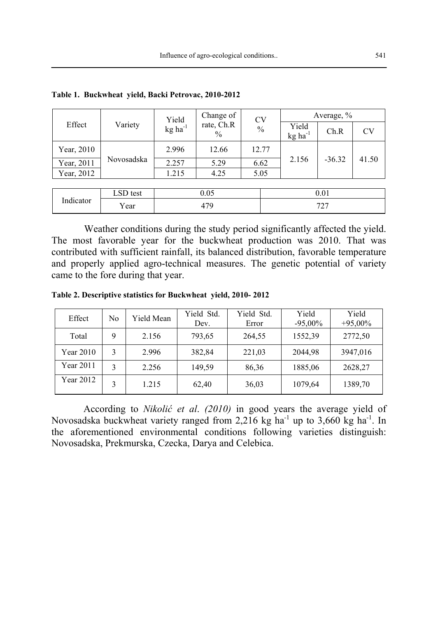|            |            |                                | Change of          | <b>CV</b>     | Average, %                     |          |           |  |
|------------|------------|--------------------------------|--------------------|---------------|--------------------------------|----------|-----------|--|
| Effect     | Variety    | Yield<br>$kg$ ha <sup>-1</sup> | rate, Ch.R<br>$\%$ | $\frac{0}{0}$ | Yield<br>$kg$ ha <sup>-1</sup> | Ch.R     | <b>CV</b> |  |
| Year, 2010 |            | 2.996                          | 12.66              | 12.77         |                                |          |           |  |
| Year, 2011 | Novosadska | 2.257                          | 5.29               | 6.62          | 2.156                          | $-36.32$ | 41.50     |  |
| Year, 2012 |            | 1.215                          | 4.25               | 5.05          |                                |          |           |  |
|            |            |                                |                    |               |                                |          |           |  |
|            | LSD test   |                                | 0.05               |               |                                | 0.01     |           |  |
| Indicator  | Year       | 479                            |                    |               |                                | 727      |           |  |

**Table 1. Buckwheat yield, Backi Petrovac, 2010-2012** 

Weather conditions during the study period significantly affected the yield. The most favorable year for the buckwheat production was 2010. That was contributed with sufficient rainfall, its balanced distribution, favorable temperature and properly applied agro-technical measures. The genetic potential of variety came to the fore during that year.

**Table 2. Descriptive statistics for Buckwheat yield, 2010- 2012** 

| Effect    | No | Yield Mean | Yield Std.<br>Dev. | Yield Std.<br>Error | Yield<br>$-95,00\%$ | Yield<br>$+95,00\%$ |
|-----------|----|------------|--------------------|---------------------|---------------------|---------------------|
| Total     | 9  | 2.156      | 793,65             | 264,55              | 1552,39             | 2772,50             |
| Year 2010 | 3  | 2.996      | 382,84             | 221,03              | 2044,98             | 3947,016            |
| Year 2011 | 3  | 2.256      | 149,59             | 86,36               | 1885,06             | 2628,27             |
| Year 2012 | 3  | 1.215      | 62,40              | 36,03               | 1079,64             | 1389,70             |

According to *Nikolić et al*. *(2010)* in good years the average yield of Novosadska buckwheat variety ranged from 2,216 kg ha<sup>-1</sup> up to 3,660 kg ha<sup>-1</sup>. In the aforementioned environmental conditions following varieties distinguish: Novosadska, Prekmurska, Czecka, Darya and Celebica.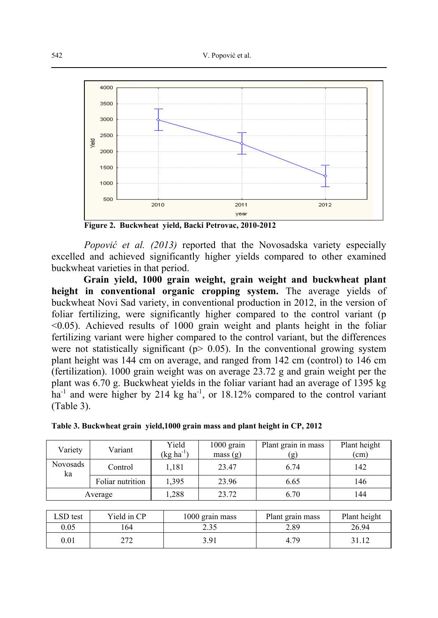

**Figure 2. Buckwheat yield, Backi Petrovac, 2010-2012** 

*Popović et al. (2013)* reported that the Novosadska variety especially excelled and achieved significantly higher yields compared to other examined buckwheat varieties in that period.

**Grain yield, 1000 grain weight, grain weight and buckwheat plant height in conventional organic cropping system.** The average yields of buckwheat Novi Sad variety, in conventional production in 2012, in the version of foliar fertilizing, were significantly higher compared to the control variant (p <0.05). Achieved results of 1000 grain weight and plants height in the foliar fertilizing variant were higher compared to the control variant, but the differences were not statistically significant ( $p > 0.05$ ). In the conventional growing system plant height was 144 cm on average, and ranged from 142 cm (control) to 146 cm (fertilization). 1000 grain weight was on average 23.72 g and grain weight per the plant was 6.70 g. Buckwheat yields in the foliar variant had an average of 1395 kg  $ha^{-1}$  and were higher by 214 kg  $ha^{-1}$ , or 18.12% compared to the control variant (Table 3).

| Variety        | Variant          | Yield<br>$(\text{kg ha}^{-1})$ | $1000$ grain<br>mass(g) | Plant grain in mass<br>(g) | Plant height<br>(cm) |
|----------------|------------------|--------------------------------|-------------------------|----------------------------|----------------------|
| Novosads<br>ka | Control          | .181                           | 23.47                   | 6.74                       | 142                  |
|                | Foliar nutrition | 1,395                          | 23.96                   | 6.65                       | 146                  |
|                | Average          | .288                           | 23.72                   | 6.70                       | 144                  |

**Table 3. Buckwheat grain yield,1000 grain mass and plant height in CP, 2012** 

| LSD test | Yield in CP | 1000 grain mass | Plant grain mass | Plant height |
|----------|-------------|-----------------|------------------|--------------|
| 0.05     | 64          | 2.35            | 2.89             | 26.94        |
| $0.01\,$ | ר ה<br>∠≀∠  | 3.91            | 4.79             | 31.12        |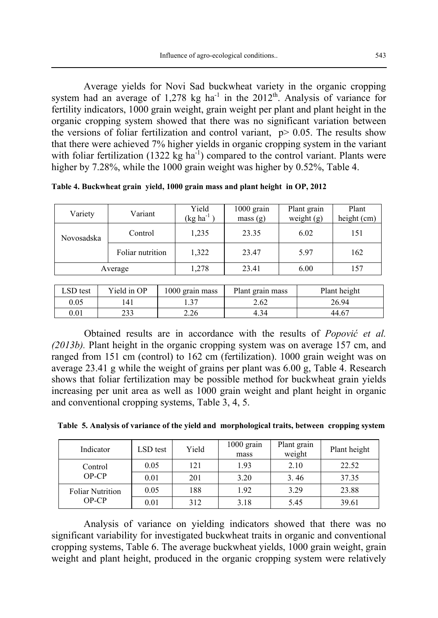Average yields for Novi Sad buckwheat variety in the organic cropping system had an average of 1,278 kg ha<sup>-1</sup> in the 2012<sup>th</sup>. Analysis of variance for fertility indicators, 1000 grain weight, grain weight per plant and plant height in the organic cropping system showed that there was no significant variation between the versions of foliar fertilization and control variant,  $p > 0.05$ . The results show that there were achieved 7% higher yields in organic cropping system in the variant with foliar fertilization (1322 kg ha<sup>-1</sup>) compared to the control variant. Plants were higher by 7.28%, while the 1000 grain weight was higher by 0.52%, Table 4.

**Table 4. Buckwheat grain yield, 1000 grain mass and plant height in OP, 2012** 

| Variety    | Variant          | Yield<br>$(kg ha^{-1})$ | $1000$ grain<br>mass(g) | Plant grain<br>weight $(g)$ | Plant<br>height (cm) |
|------------|------------------|-------------------------|-------------------------|-----------------------------|----------------------|
| Novosadska | Control          | 1,235                   | 23.35                   | 6.02                        | 151                  |
|            | Foliar nutrition | 1,322                   | 23.47                   | 5.97                        | 162                  |
| Average    |                  | 1,278                   | 23.41                   | 6.00                        | 157                  |

| LSD test | Yield in OP | 1000 grain mass | Plant grain mass | Plant height |
|----------|-------------|-----------------|------------------|--------------|
| 0.05     | 141         |                 | 2.62             | 26.94        |
| $0.01\,$ | าวว<br>ر ر∠ | 2.26            | 4.34             | 44.67        |

Obtained results are in accordance with the results of *Popović et al. (2013b).* Plant height in the organic cropping system was on average 157 cm, and ranged from 151 cm (control) to 162 cm (fertilization). 1000 grain weight was on average 23.41 g while the weight of grains per plant was 6.00 g, Table 4. Research shows that foliar fertilization may be possible method for buckwheat grain yields increasing per unit area as well as 1000 grain weight and plant height in organic and conventional cropping systems, Table 3, 4, 5.

| Table 5. Analysis of variance of the yield and morphological traits, between cropping system |  |  |
|----------------------------------------------------------------------------------------------|--|--|
|                                                                                              |  |  |

| Indicator               | LSD test | Yield | $1000$ grain<br>mass | Plant grain<br>weight | Plant height |
|-------------------------|----------|-------|----------------------|-----------------------|--------------|
| Control                 | 0.05     | 121   | 1.93                 | 2.10                  | 22.52        |
| $OP$ - $CP$             | 0.01     | 201   | 3.20                 | 3.46                  | 37.35        |
| <b>Foliar Nutrition</b> | 0.05     | 188   | 1.92                 | 3.29                  | 23.88        |
| $OP-CP$                 | 0.01     | 312   | 3.18                 | 5.45                  | 39.61        |

Analysis of variance on yielding indicators showed that there was no significant variability for investigated buckwheat traits in organic and conventional cropping systems, Table 6. The average buckwheat yields, 1000 grain weight, grain weight and plant height, produced in the organic cropping system were relatively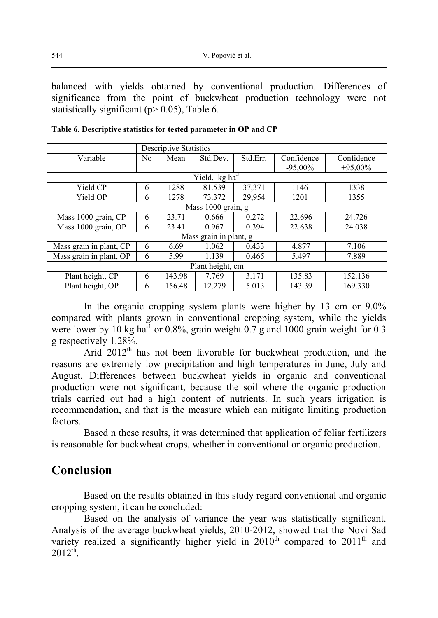balanced with yields obtained by conventional production. Differences of significance from the point of buckwheat production technology were not statistically significant ( $p > 0.05$ ), Table 6.

|                         | <b>Descriptive Statistics</b> |        |                            |          |            |            |
|-------------------------|-------------------------------|--------|----------------------------|----------|------------|------------|
| Variable                | No                            | Mean   | Std.Dev.                   | Std.Err. | Confidence | Confidence |
|                         |                               |        |                            |          | $-95,00\%$ | $+95,00\%$ |
|                         |                               |        | Yield, kg ha <sup>-1</sup> |          |            |            |
| Yield CP                | 6                             | 1288   | 81.539                     | 37,371   | 1146       | 1338       |
| Yield OP                | 6                             | 1278   | 73.372                     | 29.954   | 1201       | 1355       |
| Mass 1000 grain, g      |                               |        |                            |          |            |            |
| Mass 1000 grain, CP     | 6                             | 23.71  | 0.666                      | 0.272    | 22.696     | 24.726     |
| Mass 1000 grain, OP     | 6                             | 23.41  | 0.967                      | 0.394    | 22.638     | 24.038     |
|                         |                               |        | Mass grain in plant, g     |          |            |            |
| Mass grain in plant, CP | 6                             | 6.69   | 1.062                      | 0.433    | 4.877      | 7.106      |
| Mass grain in plant, OP | 6                             | 5.99   | 1.139                      | 0.465    | 5.497      | 7.889      |
| Plant height, cm        |                               |        |                            |          |            |            |
| Plant height, CP        | 6                             | 143.98 | 7.769                      | 3.171    | 135.83     | 152.136    |
| Plant height, OP        | 6                             | 156.48 | 12.279                     | 5.013    | 143.39     | 169.330    |

**Table 6. Descriptive statistics for tested parameter in OP and CP** 

In the organic cropping system plants were higher by 13 cm or 9.0% compared with plants grown in conventional cropping system, while the yields were lower by 10 kg ha<sup>-1</sup> or 0.8%, grain weight  $0.7$  g and 1000 grain weight for 0.3 g respectively 1.28%.

Arid 2012<sup>th</sup> has not been favorable for buckwheat production, and the reasons are extremely low precipitation and high temperatures in June, July and August. Differences between buckwheat yields in organic and conventional production were not significant, because the soil where the organic production trials carried out had a high content of nutrients. In such years irrigation is recommendation, and that is the measure which can mitigate limiting production factors.

Based n these results, it was determined that application of foliar fertilizers is reasonable for buckwheat crops, whether in conventional or organic production.

### **Conclusion**

Based on the results obtained in this study regard conventional and organic cropping system, it can be concluded:

Based on the analysis of variance the year was statistically significant. Analysis of the average buckwheat yields, 2010-2012, showed that the Novi Sad variety realized a significantly higher yield in  $2010<sup>th</sup>$  compared to  $2011<sup>th</sup>$  and  $2012^{th}$ .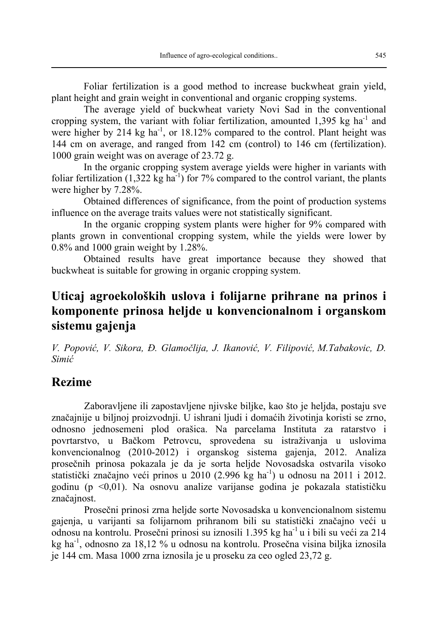Foliar fertilization is a good method to increase buckwheat grain yield, plant height and grain weight in conventional and organic cropping systems.

The average yield of buckwheat variety Novi Sad in the conventional cropping system, the variant with foliar fertilization, amounted 1,395 kg ha<sup>-1</sup> and were higher by 214 kg ha<sup>-1</sup>, or 18.12% compared to the control. Plant height was 144 cm on average, and ranged from 142 cm (control) to 146 cm (fertilization). 1000 grain weight was on average of 23.72 g.

In the organic cropping system average yields were higher in variants with foliar fertilization  $(1,322 \text{ kg ha}^{-1})$  for 7% compared to the control variant, the plants were higher by 7.28%.

Obtained differences of significance, from the point of production systems influence on the average traits values were not statistically significant.

In the organic cropping system plants were higher for 9% compared with plants grown in conventional cropping system, while the yields were lower by 0.8% and 1000 grain weight by 1.28%.

Obtained results have great importance because they showed that buckwheat is suitable for growing in organic cropping system.

## **Uticaj agroekoloških uslova i folijarne prihrane na prinos i komponente prinosa heljde u konvencionalnom i organskom sistemu gajenja**

*V. Popović, V. Sikora, Đ. Glamočlija, J. Ikanović, V. Filipović, M.Tabakovic, D. Simić*

### **Rezime**

Zaboravljene ili zapostavljene njivske biljke, kao što je heljda, postaju sve značajnije u biljnoj proizvodnji. U ishrani ljudi i domaćih životinja koristi se zrno, odnosno jednosemeni plod orašica. Na parcelama Instituta za ratarstvo i povrtarstvo, u Bačkom Petrovcu, sprovedena su istraživanjа u uslovima konvencionalnog (2010-2012) i organskog sistema gajenja, 2012. Analiza prosečnih prinosa pokazala je da je sorta heljde Novosadska ostvarila visoko statistički značajno veći prinos u 2010 (2.996 kg ha<sup>-1</sup>) u odnosu na 2011 i 2012. godinu (p <0,01). Na osnovu analize varijanse godina je pokazala statističku značajnost.

Prosečni prinosi zrna heljde sorte Novosadska u konvencionalnom sistemu gajenja, u varijanti sa folijarnom prihranom bili su statistički značajno veći u odnosu na kontrolu. Prosečni prinosi su iznosili 1.395 kg ha-1 u i bili su veći za 214 kg ha-1, odnosno za 18,12 % u odnosu na kontrolu. Prosečna visina biljka iznosila je 144 cm. Masa 1000 zrna iznosila je u proseku za ceo ogled 23,72 g.